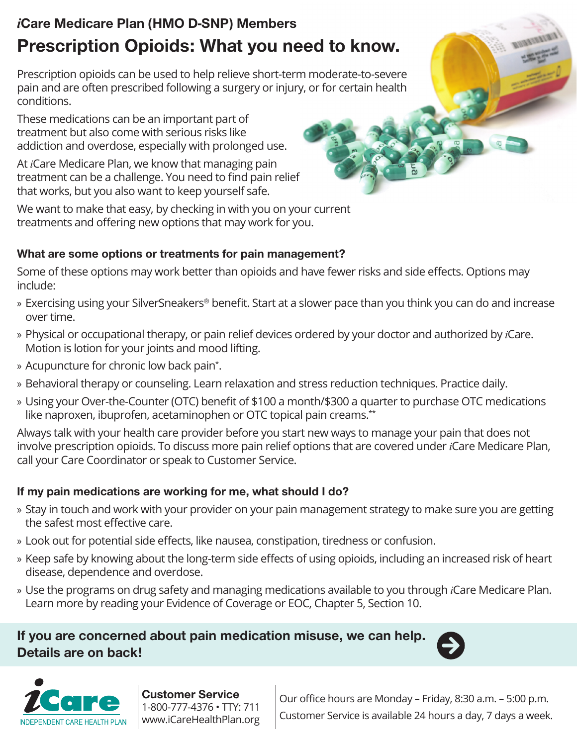# *i*Care Medicare Plan (HMO D-SNP) Members Prescription Opioids: What you need to know.

Prescription opioids can be used to help relieve short-term moderate-to-severe pain and are often prescribed following a surgery or injury, or for certain health conditions.

These medications can be an important part of treatment but also come with serious risks like addiction and overdose, especially with prolonged use.

At *i*Care Medicare Plan, we know that managing pain treatment can be a challenge. You need to find pain relief that works, but you also want to keep yourself safe.

We want to make that easy, by checking in with you on your current treatments and offering new options that may work for you.

#### What are some options or treatments for pain management?

Some of these options may work better than opioids and have fewer risks and side effects. Options may include:

- » Exercising using your SilverSneakers® benefit. Start at a slower pace than you think you can do and increase over time.
- » Physical or occupational therapy, or pain relief devices ordered by your doctor and authorized by *i*Care. Motion is lotion for your joints and mood lifting.
- » Acupuncture for chronic low back pain\* .
- » Behavioral therapy or counseling. Learn relaxation and stress reduction techniques. Practice daily.
- » Using your Over-the-Counter (OTC) benefit of \$100 a month/\$300 a quarter to purchase OTC medications like naproxen, ibuprofen, acetaminophen or OTC topical pain creams.<sup>\*\*</sup>

Always talk with your health care provider before you start new ways to manage your pain that does not involve prescription opioids. To discuss more pain relief options that are covered under *i*Care Medicare Plan, call your Care Coordinator or speak to Customer Service.

#### If my pain medications are working for me, what should I do?

- » Stay in touch and work with your provider on your pain management strategy to make sure you are getting the safest most effective care.
- » Look out for potential side effects, like nausea, constipation, tiredness or confusion.
- » Keep safe by knowing about the long-term side effects of using opioids, including an increased risk of heart disease, dependence and overdose.
- » Use the programs on drug safety and managing medications available to you through *i*Care Medicare Plan. Learn more by reading your Evidence of Coverage or EOC, Chapter 5, Section 10.

## If you are concerned about pain medication misuse, we can help. Details are on back!





Customer Service 1-800-777-4376 • TTY: 711 www.iCareHealthPlan.org

Our office hours are Monday – Friday, 8:30 a.m. – 5:00 p.m. Customer Service is available 24 hours a day, 7 days a week.